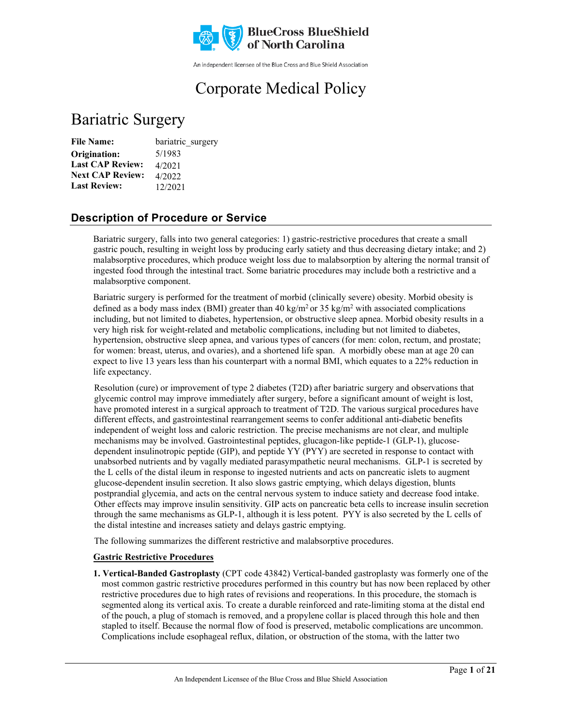

An independent licensee of the Blue Cross and Blue Shield Association

# Corporate Medical Policy

## Bariatric Surgery

| <b>File Name:</b>       | bariatric surgery |
|-------------------------|-------------------|
| Origination:            | 5/1983            |
| <b>Last CAP Review:</b> | 4/2021            |
| <b>Next CAP Review:</b> | 4/2022            |
| <b>Last Review:</b>     | 12/2021           |

## **Description of Procedure or Service**

Bariatric surgery, falls into two general categories: 1) gastric-restrictive procedures that create a small gastric pouch, resulting in weight loss by producing early satiety and thus decreasing dietary intake; and 2) malabsorptive procedures, which produce weight loss due to malabsorption by altering the normal transit of ingested food through the intestinal tract. Some bariatric procedures may include both a restrictive and a malabsorptive component.

Bariatric surgery is performed for the treatment of morbid (clinically severe) obesity. Morbid obesity is defined as a body mass index (BMI) greater than 40 kg/m<sup>2</sup> or 35 kg/m<sup>2</sup> with associated complications including, but not limited to diabetes, hypertension, or obstructive sleep apnea. Morbid obesity results in a very high risk for weight-related and metabolic complications, including but not limited to diabetes, hypertension, obstructive sleep apnea, and various types of cancers (for men: colon, rectum, and prostate; for women: breast, uterus, and ovaries), and a shortened life span. A morbidly obese man at age 20 can expect to live 13 years less than his counterpart with a normal BMI, which equates to a 22% reduction in life expectancy.

Resolution (cure) or improvement of type 2 diabetes (T2D) after bariatric surgery and observations that glycemic control may improve immediately after surgery, before a significant amount of weight is lost, have promoted interest in a surgical approach to treatment of T2D. The various surgical procedures have different effects, and gastrointestinal rearrangement seems to confer additional anti-diabetic benefits independent of weight loss and caloric restriction. The precise mechanisms are not clear, and multiple mechanisms may be involved. Gastrointestinal peptides, glucagon-like peptide-1 (GLP-1), glucosedependent insulinotropic peptide (GIP), and peptide YY (PYY) are secreted in response to contact with unabsorbed nutrients and by vagally mediated parasympathetic neural mechanisms. GLP-1 is secreted by the L cells of the distal ileum in response to ingested nutrients and acts on pancreatic islets to augment glucose-dependent insulin secretion. It also slows gastric emptying, which delays digestion, blunts postprandial glycemia, and acts on the central nervous system to induce satiety and decrease food intake. Other effects may improve insulin sensitivity. GIP acts on pancreatic beta cells to increase insulin secretion through the same mechanisms as GLP-1, although it is less potent. PYY is also secreted by the L cells of the distal intestine and increases satiety and delays gastric emptying.

The following summarizes the different restrictive and malabsorptive procedures.

### **Gastric Restrictive Procedures**

**1. Vertical-Banded Gastroplasty** (CPT code 43842) Vertical-banded gastroplasty was formerly one of the most common gastric restrictive procedures performed in this country but has now been replaced by other restrictive procedures due to high rates of revisions and reoperations. In this procedure, the stomach is segmented along its vertical axis. To create a durable reinforced and rate-limiting stoma at the distal end of the pouch, a plug of stomach is removed, and a propylene collar is placed through this hole and then stapled to itself. Because the normal flow of food is preserved, metabolic complications are uncommon. Complications include esophageal reflux, dilation, or obstruction of the stoma, with the latter two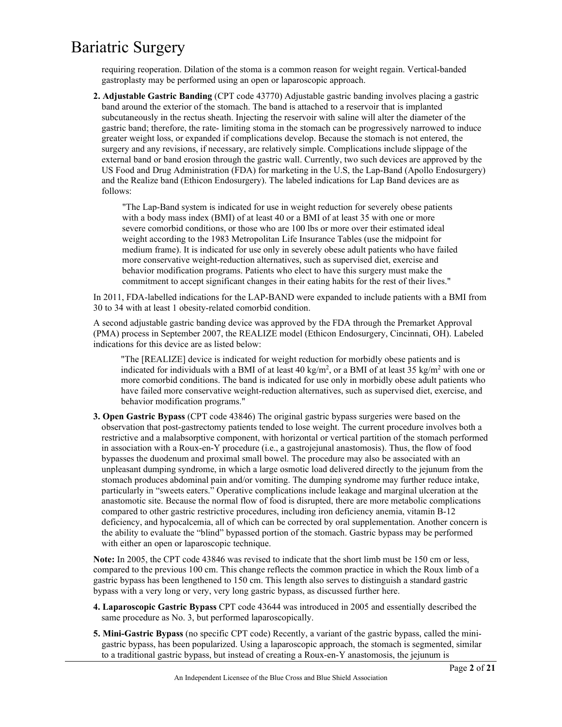requiring reoperation. Dilation of the stoma is a common reason for weight regain. Vertical-banded gastroplasty may be performed using an open or laparoscopic approach.

**2. Adjustable Gastric Banding** (CPT code 43770) Adjustable gastric banding involves placing a gastric band around the exterior of the stomach. The band is attached to a reservoir that is implanted subcutaneously in the rectus sheath. Injecting the reservoir with saline will alter the diameter of the gastric band; therefore, the rate- limiting stoma in the stomach can be progressively narrowed to induce greater weight loss, or expanded if complications develop. Because the stomach is not entered, the surgery and any revisions, if necessary, are relatively simple. Complications include slippage of the external band or band erosion through the gastric wall. Currently, two such devices are approved by the US Food and Drug Administration (FDA) for marketing in the U.S, the Lap-Band (Apollo Endosurgery) and the Realize band (Ethicon Endosurgery). The labeled indications for Lap Band devices are as follows:

"The Lap-Band system is indicated for use in weight reduction for severely obese patients with a body mass index (BMI) of at least 40 or a BMI of at least 35 with one or more severe comorbid conditions, or those who are 100 lbs or more over their estimated ideal weight according to the 1983 Metropolitan Life Insurance Tables (use the midpoint for medium frame). It is indicated for use only in severely obese adult patients who have failed more conservative weight-reduction alternatives, such as supervised diet, exercise and behavior modification programs. Patients who elect to have this surgery must make the commitment to accept significant changes in their eating habits for the rest of their lives."

In 2011, FDA-labelled indications for the LAP-BAND were expanded to include patients with a BMI from 30 to 34 with at least 1 obesity-related comorbid condition.

A second adjustable gastric banding device was approved by the FDA through the Premarket Approval (PMA) process in September 2007, the REALIZE model (Ethicon Endosurgery, Cincinnati, OH). Labeled indications for this device are as listed below:

"The [REALIZE] device is indicated for weight reduction for morbidly obese patients and is indicated for individuals with a BMI of at least 40 kg/m<sup>2</sup>, or a BMI of at least 35 kg/m<sup>2</sup> with one or more comorbid conditions. The band is indicated for use only in morbidly obese adult patients who have failed more conservative weight-reduction alternatives, such as supervised diet, exercise, and behavior modification programs."

**3. Open Gastric Bypass** (CPT code 43846) The original gastric bypass surgeries were based on the observation that post-gastrectomy patients tended to lose weight. The current procedure involves both a restrictive and a malabsorptive component, with horizontal or vertical partition of the stomach performed in association with a Roux-en-Y procedure (i.e., a gastrojejunal anastomosis). Thus, the flow of food bypasses the duodenum and proximal small bowel. The procedure may also be associated with an unpleasant dumping syndrome, in which a large osmotic load delivered directly to the jejunum from the stomach produces abdominal pain and/or vomiting. The dumping syndrome may further reduce intake, particularly in "sweets eaters." Operative complications include leakage and marginal ulceration at the anastomotic site. Because the normal flow of food is disrupted, there are more metabolic complications compared to other gastric restrictive procedures, including iron deficiency anemia, vitamin B-12 deficiency, and hypocalcemia, all of which can be corrected by oral supplementation. Another concern is the ability to evaluate the "blind" bypassed portion of the stomach. Gastric bypass may be performed with either an open or laparoscopic technique.

**Note:** In 2005, the CPT code 43846 was revised to indicate that the short limb must be 150 cm or less, compared to the previous 100 cm. This change reflects the common practice in which the Roux limb of a gastric bypass has been lengthened to 150 cm. This length also serves to distinguish a standard gastric bypass with a very long or very, very long gastric bypass, as discussed further here.

- **4. Laparoscopic Gastric Bypass** CPT code 43644 was introduced in 2005 and essentially described the same procedure as No. 3, but performed laparoscopically.
- **5. Mini-Gastric Bypass** (no specific CPT code) Recently, a variant of the gastric bypass, called the minigastric bypass, has been popularized. Using a laparoscopic approach, the stomach is segmented, similar to a traditional gastric bypass, but instead of creating a Roux-en-Y anastomosis, the jejunum is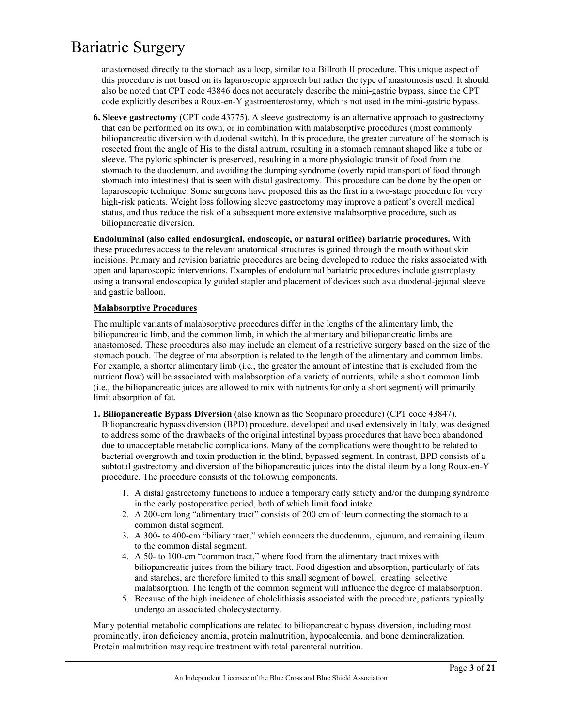anastomosed directly to the stomach as a loop, similar to a Billroth II procedure. This unique aspect of this procedure is not based on its laparoscopic approach but rather the type of anastomosis used. It should also be noted that CPT code 43846 does not accurately describe the mini-gastric bypass, since the CPT code explicitly describes a Roux-en-Y gastroenterostomy, which is not used in the mini-gastric bypass.

**6. Sleeve gastrectomy** (CPT code 43775). A sleeve gastrectomy is an alternative approach to gastrectomy that can be performed on its own, or in combination with malabsorptive procedures (most commonly biliopancreatic diversion with duodenal switch). In this procedure, the greater curvature of the stomach is resected from the angle of His to the distal antrum, resulting in a stomach remnant shaped like a tube or sleeve. The pyloric sphincter is preserved, resulting in a more physiologic transit of food from the stomach to the duodenum, and avoiding the dumping syndrome (overly rapid transport of food through stomach into intestines) that is seen with distal gastrectomy. This procedure can be done by the open or laparoscopic technique. Some surgeons have proposed this as the first in a two-stage procedure for very high-risk patients. Weight loss following sleeve gastrectomy may improve a patient's overall medical status, and thus reduce the risk of a subsequent more extensive malabsorptive procedure, such as biliopancreatic diversion.

**Endoluminal (also called endosurgical, endoscopic, or natural orifice) bariatric procedures.** With these procedures access to the relevant anatomical structures is gained through the mouth without skin incisions. Primary and revision bariatric procedures are being developed to reduce the risks associated with open and laparoscopic interventions. Examples of endoluminal bariatric procedures include gastroplasty using a transoral endoscopically guided stapler and placement of devices such as a duodenal-jejunal sleeve and gastric balloon.

### **Malabsorptive Procedures**

The multiple variants of malabsorptive procedures differ in the lengths of the alimentary limb, the biliopancreatic limb, and the common limb, in which the alimentary and biliopancreatic limbs are anastomosed. These procedures also may include an element of a restrictive surgery based on the size of the stomach pouch. The degree of malabsorption is related to the length of the alimentary and common limbs. For example, a shorter alimentary limb (i.e., the greater the amount of intestine that is excluded from the nutrient flow) will be associated with malabsorption of a variety of nutrients, while a short common limb (i.e., the biliopancreatic juices are allowed to mix with nutrients for only a short segment) will primarily limit absorption of fat.

- **1. Biliopancreatic Bypass Diversion** (also known as the Scopinaro procedure) (CPT code 43847). Biliopancreatic bypass diversion (BPD) procedure, developed and used extensively in Italy, was designed to address some of the drawbacks of the original intestinal bypass procedures that have been abandoned due to unacceptable metabolic complications. Many of the complications were thought to be related to bacterial overgrowth and toxin production in the blind, bypassed segment. In contrast, BPD consists of a subtotal gastrectomy and diversion of the biliopancreatic juices into the distal ileum by a long Roux-en-Y procedure. The procedure consists of the following components.
	- 1. A distal gastrectomy functions to induce a temporary early satiety and/or the dumping syndrome in the early postoperative period, both of which limit food intake.
	- 2. A 200-cm long "alimentary tract" consists of 200 cm of ileum connecting the stomach to a common distal segment.
	- 3. A 300- to 400-cm "biliary tract," which connects the duodenum, jejunum, and remaining ileum to the common distal segment.
	- 4. A 50- to 100-cm "common tract," where food from the alimentary tract mixes with biliopancreatic juices from the biliary tract. Food digestion and absorption, particularly of fats and starches, are therefore limited to this small segment of bowel, creating selective malabsorption. The length of the common segment will influence the degree of malabsorption.
	- 5. Because of the high incidence of cholelithiasis associated with the procedure, patients typically undergo an associated cholecystectomy.

Many potential metabolic complications are related to biliopancreatic bypass diversion, including most prominently, iron deficiency anemia, protein malnutrition, hypocalcemia, and bone demineralization. Protein malnutrition may require treatment with total parenteral nutrition.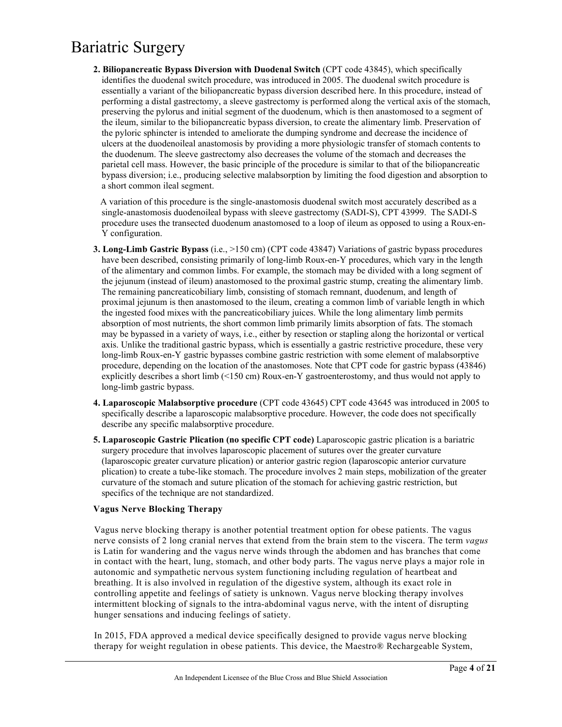**2. Biliopancreatic Bypass Diversion with Duodenal Switch** (CPT code 43845), which specifically identifies the duodenal switch procedure, was introduced in 2005. The duodenal switch procedure is essentially a variant of the biliopancreatic bypass diversion described here. In this procedure, instead of performing a distal gastrectomy, a sleeve gastrectomy is performed along the vertical axis of the stomach, preserving the pylorus and initial segment of the duodenum, which is then anastomosed to a segment of the ileum, similar to the biliopancreatic bypass diversion, to create the alimentary limb. Preservation of the pyloric sphincter is intended to ameliorate the dumping syndrome and decrease the incidence of ulcers at the duodenoileal anastomosis by providing a more physiologic transfer of stomach contents to the duodenum. The sleeve gastrectomy also decreases the volume of the stomach and decreases the parietal cell mass. However, the basic principle of the procedure is similar to that of the biliopancreatic bypass diversion; i.e., producing selective malabsorption by limiting the food digestion and absorption to a short common ileal segment.

 A variation of this procedure is the single-anastomosis duodenal switch most accurately described as a single-anastomosis duodenoileal bypass with sleeve gastrectomy (SADI-S), CPT 43999. The SADI-S procedure uses the transected duodenum anastomosed to a loop of ileum as opposed to using a Roux-en-Y configuration.

- **3. Long-Limb Gastric Bypass** (i.e., >150 cm) (CPT code 43847) Variations of gastric bypass procedures have been described, consisting primarily of long-limb Roux-en-Y procedures, which vary in the length of the alimentary and common limbs. For example, the stomach may be divided with a long segment of the jejunum (instead of ileum) anastomosed to the proximal gastric stump, creating the alimentary limb. The remaining pancreaticobiliary limb, consisting of stomach remnant, duodenum, and length of proximal jejunum is then anastomosed to the ileum, creating a common limb of variable length in which the ingested food mixes with the pancreaticobiliary juices. While the long alimentary limb permits absorption of most nutrients, the short common limb primarily limits absorption of fats. The stomach may be bypassed in a variety of ways, i.e., either by resection or stapling along the horizontal or vertical axis. Unlike the traditional gastric bypass, which is essentially a gastric restrictive procedure, these very long-limb Roux-en-Y gastric bypasses combine gastric restriction with some element of malabsorptive procedure, depending on the location of the anastomoses. Note that CPT code for gastric bypass (43846) explicitly describes a short limb (<150 cm) Roux-en-Y gastroenterostomy, and thus would not apply to long-limb gastric bypass.
- **4. Laparoscopic Malabsorptive procedure** (CPT code 43645) CPT code 43645 was introduced in 2005 to specifically describe a laparoscopic malabsorptive procedure. However, the code does not specifically describe any specific malabsorptive procedure.
- **5. Laparoscopic Gastric Plication (no specific CPT code)** Laparoscopic gastric plication is a bariatric surgery procedure that involves laparoscopic placement of sutures over the greater curvature (laparoscopic greater curvature plication) or anterior gastric region (laparoscopic anterior curvature plication) to create a tube-like stomach. The procedure involves 2 main steps, mobilization of the greater curvature of the stomach and suture plication of the stomach for achieving gastric restriction, but specifics of the technique are not standardized.

### **Vagus Nerve Blocking Therapy**

Vagus nerve blocking therapy is another potential treatment option for obese patients. The vagus nerve consists of 2 long cranial nerves that extend from the brain stem to the viscera. The term *vagus* is Latin for wandering and the vagus nerve winds through the abdomen and has branches that come in contact with the heart, lung, stomach, and other body parts. The vagus nerve plays a major role in autonomic and sympathetic nervous system functioning including regulation of heartbeat and breathing. It is also involved in regulation of the digestive system, although its exact role in controlling appetite and feelings of satiety is unknown. Vagus nerve blocking therapy involves intermittent blocking of signals to the intra-abdominal vagus nerve, with the intent of disrupting hunger sensations and inducing feelings of satiety.

In 2015, FDA approved a medical device specifically designed to provide vagus nerve blocking therapy for weight regulation in obese patients. This device, the Maestro® Rechargeable System,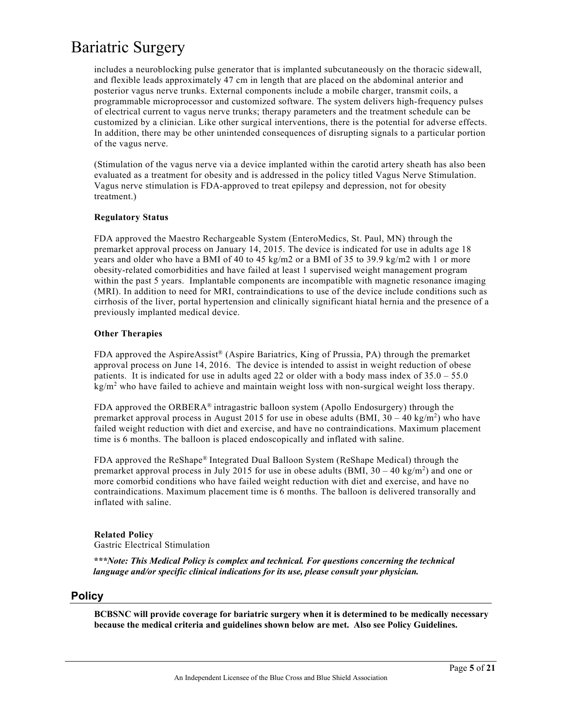includes a neuroblocking pulse generator that is implanted subcutaneously on the thoracic sidewall, and flexible leads approximately 47 cm in length that are placed on the abdominal anterior and posterior vagus nerve trunks. External components include a mobile charger, transmit coils, a programmable microprocessor and customized software. The system delivers high-frequency pulses of electrical current to vagus nerve trunks; therapy parameters and the treatment schedule can be customized by a clinician. Like other surgical interventions, there is the potential for adverse effects. In addition, there may be other unintended consequences of disrupting signals to a particular portion of the vagus nerve.

(Stimulation of the vagus nerve via a device implanted within the carotid artery sheath has also been evaluated as a treatment for obesity and is addressed in the policy titled Vagus Nerve Stimulation. Vagus nerve stimulation is FDA-approved to treat epilepsy and depression, not for obesity treatment.)

#### **Regulatory Status**

FDA approved the Maestro Rechargeable System (EnteroMedics, St. Paul, MN) through the premarket approval process on January 14, 2015. The device is indicated for use in adults age 18 years and older who have a BMI of 40 to 45 kg/m2 or a BMI of 35 to 39.9 kg/m2 with 1 or more obesity-related comorbidities and have failed at least 1 supervised weight management program within the past 5 years. Implantable components are incompatible with magnetic resonance imaging (MRI). In addition to need for MRI, contraindications to use of the device include conditions such as cirrhosis of the liver, portal hypertension and clinically significant hiatal hernia and the presence of a previously implanted medical device.

### **Other Therapies**

FDA approved the AspireAssist® (Aspire Bariatrics, King of Prussia, PA) through the premarket approval process on June 14, 2016. The device is intended to assist in weight reduction of obese patients. It is indicated for use in adults aged 22 or older with a body mass index of  $35.0 - 55.0$  $kg/m<sup>2</sup>$  who have failed to achieve and maintain weight loss with non-surgical weight loss therapy.

FDA approved the ORBERA® intragastric balloon system (Apollo Endosurgery) through the premarket approval process in August 2015 for use in obese adults (BMI,  $30 - 40 \text{ kg/m}^2$ ) who have failed weight reduction with diet and exercise, and have no contraindications. Maximum placement time is 6 months. The balloon is placed endoscopically and inflated with saline.

FDA approved the ReShape® Integrated Dual Balloon System (ReShape Medical) through the premarket approval process in July 2015 for use in obese adults (BMI,  $30 - 40 \text{ kg/m}^2$ ) and one or more comorbid conditions who have failed weight reduction with diet and exercise, and have no contraindications. Maximum placement time is 6 months. The balloon is delivered transorally and inflated with saline.

## **Related Policy**

Gastric Electrical Stimulation

*\*\*\*Note: This Medical Policy is complex and technical. For questions concerning the technical language and/or specific clinical indications for its use, please consult your physician.*

### **Policy**

**BCBSNC will provide coverage for bariatric surgery when it is determined to be medically necessary because the medical criteria and guidelines shown below are met. Also see Policy Guidelines.**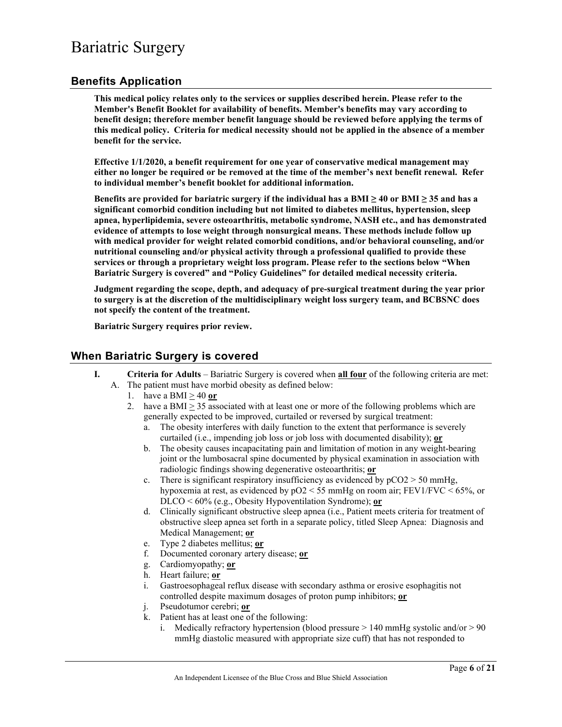### **Benefits Application**

**This medical policy relates only to the services or supplies described herein. Please refer to the Member's Benefit Booklet for availability of benefits. Member's benefits may vary according to benefit design; therefore member benefit language should be reviewed before applying the terms of this medical policy. Criteria for medical necessity should not be applied in the absence of a member benefit for the service.**

**Effective 1/1/2020, a benefit requirement for one year of conservative medical management may either no longer be required or be removed at the time of the member's next benefit renewal. Refer to individual member's benefit booklet for additional information.**

**Benefits are provided for bariatric surgery if the individual has a BMI ≥ 40 or BMI ≥ 35 and has a significant comorbid condition including but not limited to diabetes mellitus, hypertension, sleep apnea, hyperlipidemia, severe osteoarthritis, metabolic syndrome, NASH etc., and has demonstrated evidence of attempts to lose weight through nonsurgical means. These methods include follow up with medical provider for weight related comorbid conditions, and/or behavioral counseling, and/or nutritional counseling and/or physical activity through a professional qualified to provide these services or through a proprietary weight loss program. Please refer to the sections below "When Bariatric Surgery is covered" and "Policy Guidelines" for detailed medical necessity criteria.** 

**Judgment regarding the scope, depth, and adequacy of pre-surgical treatment during the year prior to surgery is at the discretion of the multidisciplinary weight loss surgery team, and BCBSNC does not specify the content of the treatment.** 

**Bariatric Surgery requires prior review.** 

### **When Bariatric Surgery is covered**

- **I. Criteria for Adults** Bariatric Surgery is covered when **all four** of the following criteria are met:
	- A. The patient must have morbid obesity as defined below:
		- 1. have a BMI > 40 **or**
		- 2. have a BMI  $>$  35 associated with at least one or more of the following problems which are generally expected to be improved, curtailed or reversed by surgical treatment:
			- a. The obesity interferes with daily function to the extent that performance is severely curtailed (i.e., impending job loss or job loss with documented disability); **or**
			- b. The obesity causes incapacitating pain and limitation of motion in any weight-bearing joint or the lumbosacral spine documented by physical examination in association with radiologic findings showing degenerative osteoarthritis; **or**
			- c. There is significant respiratory insufficiency as evidenced by  $pCO2 > 50$  mmHg, hypoxemia at rest, as evidenced by  $pO2 \le 55$  mmHg on room air; FEV1/FVC  $\le 65\%$ , or DLCO < 60% (e.g., Obesity Hypoventilation Syndrome); **or**
			- d. Clinically significant obstructive sleep apnea (i.e., Patient meets criteria for treatment of obstructive sleep apnea set forth in a separate policy, titled Sleep Apnea: Diagnosis and Medical Management; **or**
			- e. Type 2 diabetes mellitus; **or**
			- f. Documented coronary artery disease; **or**
			- g. Cardiomyopathy; **or**
			- h. Heart failure; **or**
			- i. Gastroesophageal reflux disease with secondary asthma or erosive esophagitis not controlled despite maximum dosages of proton pump inhibitors; **or**
			- j. Pseudotumor cerebri; **or**
			- k. Patient has at least one of the following:
				- i. Medically refractory hypertension (blood pressure  $> 140$  mmHg systolic and/or  $> 90$ mmHg diastolic measured with appropriate size cuff) that has not responded to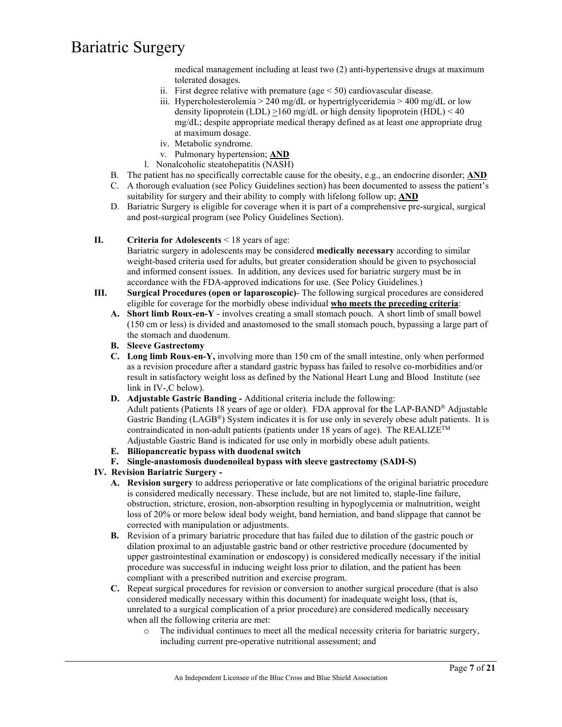medical management including at least two (2) anti-hypertensive drugs at maximum tolerated dosages.

- ii. First degree relative with premature (age  $\leq$  50) cardiovascular disease.
- iii. Hypercholesterolemia > 240 mg/dL or hypertriglyceridemia > 400 mg/dL or low density lipoprotein  $(LDL) > 160$  mg/dL or high density lipoprotein  $(HDL) < 40$ mg/dL; despite appropriate medical therapy defined as at least one appropriate drug at maximum dosage.
- iv. Metabolic syndrome.
- v. Pulmonary hypertension; **AND**
- l. Nonalcoholic steatohepatitis (NASH)
- B. The patient has no specifically correctable cause for the obesity, e.g., an endocrine disorder; **AND** C. A thorough evaluation (see Policy Guidelines section) has been documented to assess the patient's suitability for surgery and their ability to comply with lifelong follow up; **AND**
- D. Bariatric Surgery is eligible for coverage when it is part of a comprehensive pre-surgical, surgical and post-surgical program (see Policy Guidelines Section).

#### **II. Criteria for Adolescents** < 18 years of age:

Bariatric surgery in adolescents may be considered **medically necessary** according to similar weight-based criteria used for adults, but greater consideration should be given to psychosocial and informed consent issues. In addition, any devices used for bariatric surgery must be in accordance with the FDA-approved indications for use. (See Policy Guidelines.)

- **III. Surgical Procedures (open or laparoscopic)** The following surgical procedures are considered eligible for coverage for the morbidly obese individual **who meets the preceding criteria**:
	- **A. Short limb Roux-en-Y** involves creating a small stomach pouch. A short limb of small bowel (150 cm or less) is divided and anastomosed to the small stomach pouch, bypassing a large part of the stomach and duodenum.
	- **B. Sleeve Gastrectomy**
	- **C. Long limb Roux-en-Y,** involving more than 150 cm of the small intestine, only when performed as a revision procedure after a standard gastric bypass has failed to resolve co-morbidities and/or result in satisfactory weight loss as defined by the National Heart Lung and Blood Institute (see link in IV-,C below).
	- **D. Adjustable Gastric Banding -** Additional criteria include the following:

Adult patients (Patients 18 years of age or older). FDA approval for **t**he LAP-BAND® Adjustable Gastric Banding  $(LAGB^{\circledast})$  System indicates it is for use only in severely obese adult patients. It is contraindicated in non-adult patients (patients under 18 years of age). The REALIZE<sup>TM</sup> Adjustable Gastric Band is indicated for use only in morbidly obese adult patients.

- **E. Biliopancreatic bypass with duodenal switch**
- **F. Single-anastomosis duodenoileal bypass with sleeve gastrectomy (SADI-S)**
- **IV. Revision Bariatric Surgery -**
	- **A. Revision surgery** to address perioperative or late complications of the original bariatric procedure is considered medically necessary. These include, but are not limited to, staple-line failure, obstruction, stricture, erosion, non-absorption resulting in hypoglycemia or malnutrition, weight loss of 20% or more below ideal body weight, band herniation, and band slippage that cannot be corrected with manipulation or adjustments.
	- **B.** Revision of a primary bariatric procedure that has failed due to dilation of the gastric pouch or dilation proximal to an adjustable gastric band or other restrictive procedure (documented by upper gastrointestinal examination or endoscopy) is considered medically necessary if the initial procedure was successful in inducing weight loss prior to dilation, and the patient has been compliant with a prescribed nutrition and exercise program.
	- **C.** Repeat surgical procedures for revision or conversion to another surgical procedure (that is also considered medically necessary within this document) for inadequate weight loss, (that is, unrelated to a surgical complication of a prior procedure) are considered medically necessary when all the following criteria are met:
		- o The individual continues to meet all the medical necessity criteria for bariatric surgery, including current pre-operative nutritional assessment; and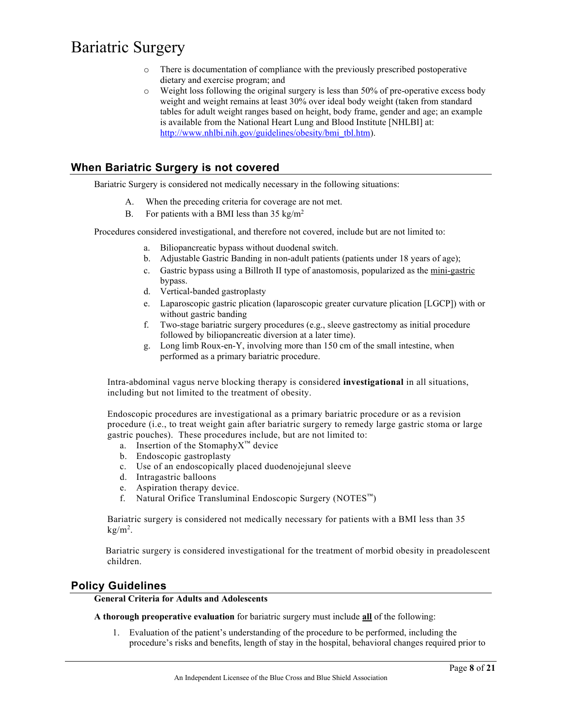- o There is documentation of compliance with the previously prescribed postoperative dietary and exercise program; and
- o Weight loss following the original surgery is less than 50% of pre-operative excess body weight and weight remains at least 30% over ideal body weight (taken from standard tables for adult weight ranges based on height, body frame, gender and age; an example is available from the National Heart Lung and Blood Institute [NHLBI] at: [http://www.nhlbi.nih.gov/guidelines/obesity/bmi\\_tbl.htm\)](http://www.nhlbi.nih.gov/guidelines/obesity/bmi_tbl.htm).

### **When Bariatric Surgery is not covered**

Bariatric Surgery is considered not medically necessary in the following situations:

- A. When the preceding criteria for coverage are not met.
- B. For patients with a BMI less than  $35 \text{ kg/m}^2$

Procedures considered investigational, and therefore not covered, include but are not limited to:

- a. Biliopancreatic bypass without duodenal switch.
- b. Adjustable Gastric Banding in non-adult patients (patients under 18 years of age);
- c. Gastric bypass using a Billroth II type of anastomosis, popularized as the mini-gastric bypass.
- d. Vertical-banded gastroplasty
- e. Laparoscopic gastric plication (laparoscopic greater curvature plication [LGCP]) with or without gastric banding
- f. Two-stage bariatric surgery procedures (e.g., sleeve gastrectomy as initial procedure followed by biliopancreatic diversion at a later time).
- g. Long limb Roux-en-Y, involving more than 150 cm of the small intestine, when performed as a primary bariatric procedure.

Intra-abdominal vagus nerve blocking therapy is considered **investigational** in all situations, including but not limited to the treatment of obesity.

Endoscopic procedures are investigational as a primary bariatric procedure or as a revision procedure (i.e., to treat weight gain after bariatric surgery to remedy large gastric stoma or large gastric pouches). These procedures include, but are not limited to:

- a. Insertion of the Stomaphy $X^{\mathbb{M}}$  device
- b. Endoscopic gastroplasty
- c. Use of an endoscopically placed duodenojejunal sleeve
- d. Intragastric balloons
- e. Aspiration therapy device.
- f. Natural Orifice Transluminal Endoscopic Surgery (NOTES™)

Bariatric surgery is considered not medically necessary for patients with a BMI less than 35  $kg/m<sup>2</sup>$ .

Bariatric surgery is considered investigational for the treatment of morbid obesity in preadolescent children.

## **Policy Guidelines**

### **General Criteria for Adults and Adolescents**

**A thorough preoperative evaluation** for bariatric surgery must include **all** of the following:

1. Evaluation of the patient's understanding of the procedure to be performed, including the procedure's risks and benefits, length of stay in the hospital, behavioral changes required prior to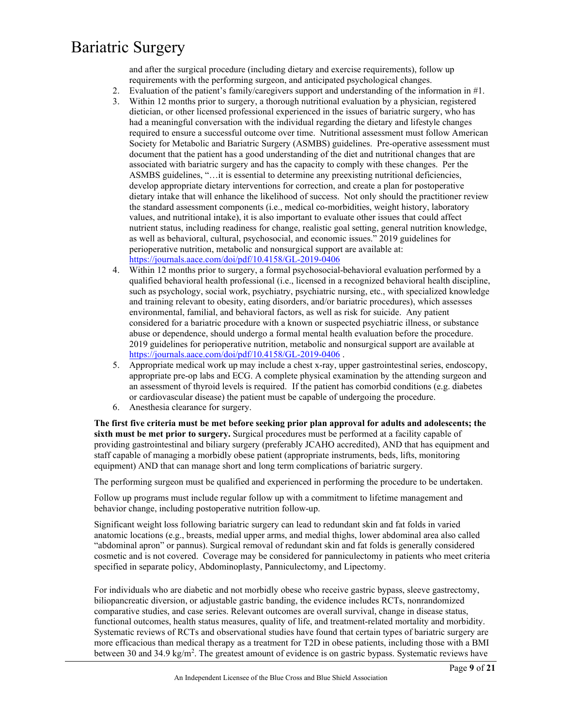and after the surgical procedure (including dietary and exercise requirements), follow up requirements with the performing surgeon, and anticipated psychological changes.

- 2. Evaluation of the patient's family/caregivers support and understanding of the information in #1.
- 3. Within 12 months prior to surgery, a thorough nutritional evaluation by a physician, registered dietician, or other licensed professional experienced in the issues of bariatric surgery, who has had a meaningful conversation with the individual regarding the dietary and lifestyle changes required to ensure a successful outcome over time. Nutritional assessment must follow American Society for Metabolic and Bariatric Surgery (ASMBS) guidelines. Pre-operative assessment must document that the patient has a good understanding of the diet and nutritional changes that are associated with bariatric surgery and has the capacity to comply with these changes. Per the ASMBS guidelines, "…it is essential to determine any preexisting nutritional deficiencies, develop appropriate dietary interventions for correction, and create a plan for postoperative dietary intake that will enhance the likelihood of success. Not only should the practitioner review the standard assessment components (i.e., medical co-morbidities, weight history, laboratory values, and nutritional intake), it is also important to evaluate other issues that could affect nutrient status, including readiness for change, realistic goal setting, general nutrition knowledge, as well as behavioral, cultural, psychosocial, and economic issues." 2019 guidelines for perioperative nutrition, metabolic and nonsurgical support are available at: <https://journals.aace.com/doi/pdf/10.4158/GL-2019-0406>
- 4. Within 12 months prior to surgery, a formal psychosocial-behavioral evaluation performed by a qualified behavioral health professional (i.e., licensed in a recognized behavioral health discipline, such as psychology, social work, psychiatry, psychiatric nursing, etc., with specialized knowledge and training relevant to obesity, eating disorders, and/or bariatric procedures), which assesses environmental, familial, and behavioral factors, as well as risk for suicide. Any patient considered for a bariatric procedure with a known or suspected psychiatric illness, or substance abuse or dependence, should undergo a formal mental health evaluation before the procedure. 2019 guidelines for perioperative nutrition, metabolic and nonsurgical support are available at <https://journals.aace.com/doi/pdf/10.4158/GL-2019-0406> .
- 5. Appropriate medical work up may include a chest x-ray, upper gastrointestinal series, endoscopy, appropriate pre-op labs and ECG. A complete physical examination by the attending surgeon and an assessment of thyroid levels is required. If the patient has comorbid conditions (e.g. diabetes or cardiovascular disease) the patient must be capable of undergoing the procedure.
- 6. Anesthesia clearance for surgery.

**The first five criteria must be met before seeking prior plan approval for adults and adolescents; the sixth must be met prior to surgery.** Surgical procedures must be performed at a facility capable of providing gastrointestinal and biliary surgery (preferably JCAHO accredited), AND that has equipment and staff capable of managing a morbidly obese patient (appropriate instruments, beds, lifts, monitoring equipment) AND that can manage short and long term complications of bariatric surgery.

The performing surgeon must be qualified and experienced in performing the procedure to be undertaken.

Follow up programs must include regular follow up with a commitment to lifetime management and behavior change, including postoperative nutrition follow-up.

Significant weight loss following bariatric surgery can lead to redundant skin and fat folds in varied anatomic locations (e.g., breasts, medial upper arms, and medial thighs, lower abdominal area also called "abdominal apron" or pannus). Surgical removal of redundant skin and fat folds is generally considered cosmetic and is not covered. Coverage may be considered for panniculectomy in patients who meet criteria specified in separate policy, Abdominoplasty, Panniculectomy, and Lipectomy.

For individuals who are diabetic and not morbidly obese who receive gastric bypass, sleeve gastrectomy, biliopancreatic diversion, or adjustable gastric banding, the evidence includes RCTs, nonrandomized comparative studies, and case series. Relevant outcomes are overall survival, change in disease status, functional outcomes, health status measures, quality of life, and treatment-related mortality and morbidity. Systematic reviews of RCTs and observational studies have found that certain types of bariatric surgery are more efficacious than medical therapy as a treatment for T2D in obese patients, including those with a BMI between 30 and 34.9 kg/m<sup>2</sup>. The greatest amount of evidence is on gastric bypass. Systematic reviews have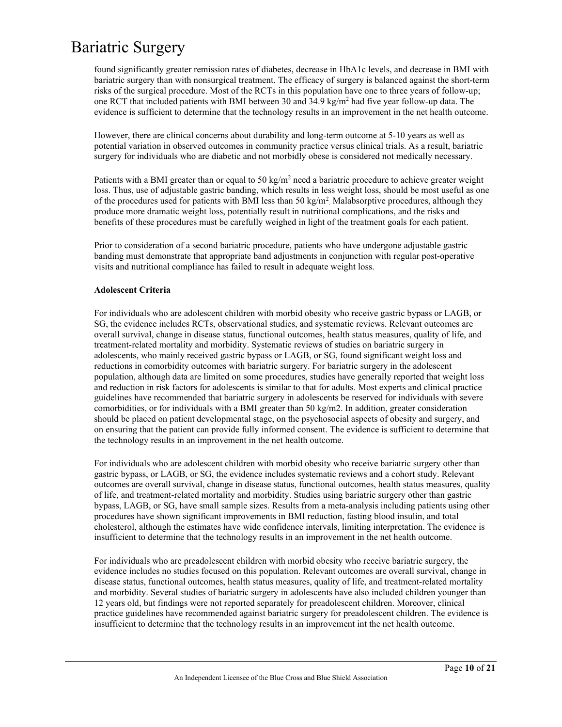found significantly greater remission rates of diabetes, decrease in HbA1c levels, and decrease in BMI with bariatric surgery than with nonsurgical treatment. The efficacy of surgery is balanced against the short-term risks of the surgical procedure. Most of the RCTs in this population have one to three years of follow-up; one RCT that included patients with BMI between 30 and 34.9 kg/m<sup>2</sup> had five year follow-up data. The evidence is sufficient to determine that the technology results in an improvement in the net health outcome.

However, there are clinical concerns about durability and long-term outcome at 5-10 years as well as potential variation in observed outcomes in community practice versus clinical trials. As a result, bariatric surgery for individuals who are diabetic and not morbidly obese is considered not medically necessary.

Patients with a BMI greater than or equal to 50 kg/m<sup>2</sup> need a bariatric procedure to achieve greater weight loss. Thus, use of adjustable gastric banding, which results in less weight loss, should be most useful as one of the procedures used for patients with BMI less than 50 kg/m<sup>2</sup>. Malabsorptive procedures, although they produce more dramatic weight loss, potentially result in nutritional complications, and the risks and benefits of these procedures must be carefully weighed in light of the treatment goals for each patient.

Prior to consideration of a second bariatric procedure, patients who have undergone adjustable gastric banding must demonstrate that appropriate band adjustments in conjunction with regular post-operative visits and nutritional compliance has failed to result in adequate weight loss.

#### **Adolescent Criteria**

For individuals who are adolescent children with morbid obesity who receive gastric bypass or LAGB, or SG, the evidence includes RCTs, observational studies, and systematic reviews. Relevant outcomes are overall survival, change in disease status, functional outcomes, health status measures, quality of life, and treatment-related mortality and morbidity. Systematic reviews of studies on bariatric surgery in adolescents, who mainly received gastric bypass or LAGB, or SG, found significant weight loss and reductions in comorbidity outcomes with bariatric surgery. For bariatric surgery in the adolescent population, although data are limited on some procedures, studies have generally reported that weight loss and reduction in risk factors for adolescents is similar to that for adults. Most experts and clinical practice guidelines have recommended that bariatric surgery in adolescents be reserved for individuals with severe comorbidities, or for individuals with a BMI greater than 50 kg/m2. In addition, greater consideration should be placed on patient developmental stage, on the psychosocial aspects of obesity and surgery, and on ensuring that the patient can provide fully informed consent. The evidence is sufficient to determine that the technology results in an improvement in the net health outcome.

For individuals who are adolescent children with morbid obesity who receive bariatric surgery other than gastric bypass, or LAGB, or SG, the evidence includes systematic reviews and a cohort study. Relevant outcomes are overall survival, change in disease status, functional outcomes, health status measures, quality of life, and treatment-related mortality and morbidity. Studies using bariatric surgery other than gastric bypass, LAGB, or SG, have small sample sizes. Results from a meta-analysis including patients using other procedures have shown significant improvements in BMI reduction, fasting blood insulin, and total cholesterol, although the estimates have wide confidence intervals, limiting interpretation. The evidence is insufficient to determine that the technology results in an improvement in the net health outcome.

For individuals who are preadolescent children with morbid obesity who receive bariatric surgery, the evidence includes no studies focused on this population. Relevant outcomes are overall survival, change in disease status, functional outcomes, health status measures, quality of life, and treatment-related mortality and morbidity. Several studies of bariatric surgery in adolescents have also included children younger than 12 years old, but findings were not reported separately for preadolescent children. Moreover, clinical practice guidelines have recommended against bariatric surgery for preadolescent children. The evidence is insufficient to determine that the technology results in an improvement int the net health outcome.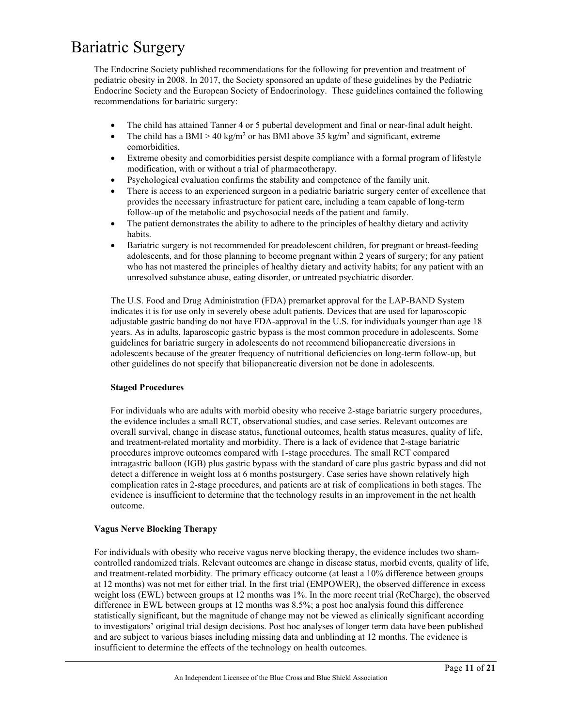The Endocrine Society published recommendations for the following for prevention and treatment of pediatric obesity in 2008. In 2017, the Society sponsored an update of these guidelines by the Pediatric Endocrine Society and the European Society of Endocrinology. These guidelines contained the following recommendations for bariatric surgery:

- The child has attained Tanner 4 or 5 pubertal development and final or near-final adult height.
- The child has a BMI > 40 kg/m<sup>2</sup> or has BMI above 35 kg/m<sup>2</sup> and significant, extreme comorbidities.
- Extreme obesity and comorbidities persist despite compliance with a formal program of lifestyle modification, with or without a trial of pharmacotherapy.
- Psychological evaluation confirms the stability and competence of the family unit.
- There is access to an experienced surgeon in a pediatric bariatric surgery center of excellence that provides the necessary infrastructure for patient care, including a team capable of long-term follow-up of the metabolic and psychosocial needs of the patient and family.
- The patient demonstrates the ability to adhere to the principles of healthy dietary and activity habits.
- Bariatric surgery is not recommended for preadolescent children, for pregnant or breast-feeding adolescents, and for those planning to become pregnant within 2 years of surgery; for any patient who has not mastered the principles of healthy dietary and activity habits; for any patient with an unresolved substance abuse, eating disorder, or untreated psychiatric disorder.

The U.S. Food and Drug Administration (FDA) premarket approval for the LAP-BAND System indicates it is for use only in severely obese adult patients. Devices that are used for laparoscopic adjustable gastric banding do not have FDA-approval in the U.S. for individuals younger than age 18 years. As in adults, laparoscopic gastric bypass is the most common procedure in adolescents. Some guidelines for bariatric surgery in adolescents do not recommend biliopancreatic diversions in adolescents because of the greater frequency of nutritional deficiencies on long-term follow-up, but other guidelines do not specify that biliopancreatic diversion not be done in adolescents.

### **Staged Procedures**

For individuals who are adults with morbid obesity who receive 2-stage bariatric surgery procedures, the evidence includes a small RCT, observational studies, and case series. Relevant outcomes are overall survival, change in disease status, functional outcomes, health status measures, quality of life, and treatment-related mortality and morbidity. There is a lack of evidence that 2-stage bariatric procedures improve outcomes compared with 1-stage procedures. The small RCT compared intragastric balloon (IGB) plus gastric bypass with the standard of care plus gastric bypass and did not detect a difference in weight loss at 6 months postsurgery. Case series have shown relatively high complication rates in 2-stage procedures, and patients are at risk of complications in both stages. The evidence is insufficient to determine that the technology results in an improvement in the net health outcome.

#### **Vagus Nerve Blocking Therapy**

For individuals with obesity who receive vagus nerve blocking therapy, the evidence includes two shamcontrolled randomized trials. Relevant outcomes are change in disease status, morbid events, quality of life, and treatment-related morbidity. The primary efficacy outcome (at least a 10% difference between groups at 12 months) was not met for either trial. In the first trial (EMPOWER), the observed difference in excess weight loss (EWL) between groups at 12 months was 1%. In the more recent trial (ReCharge), the observed difference in EWL between groups at 12 months was 8.5%; a post hoc analysis found this difference statistically significant, but the magnitude of change may not be viewed as clinically significant according to investigators' original trial design decisions. Post hoc analyses of longer term data have been published and are subject to various biases including missing data and unblinding at 12 months. The evidence is insufficient to determine the effects of the technology on health outcomes.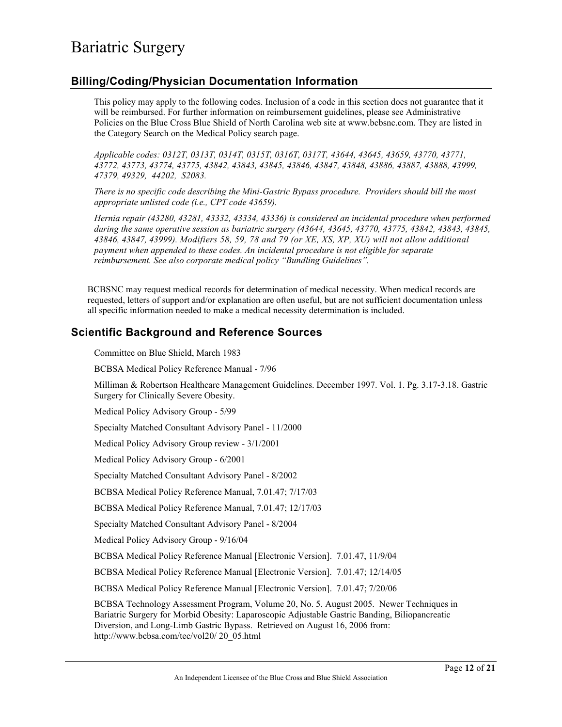### **Billing/Coding/Physician Documentation Information**

This policy may apply to the following codes. Inclusion of a code in this section does not guarantee that it will be reimbursed. For further information on reimbursement guidelines, please see Administrative Policies on the Blue Cross Blue Shield of North Carolina web site at www.bcbsnc.com. They are listed in the Category Search on the Medical Policy search page.

*Applicable codes: 0312T, 0313T, 0314T, 0315T, 0316T, 0317T, 43644, 43645, 43659, 43770, 43771, 43772, 43773, 43774, 43775, 43842, 43843, 43845, 43846, 43847, 43848, 43886, 43887, 43888, 43999, 47379, 49329, 44202, S2083.* 

*There is no specific code describing the Mini-Gastric Bypass procedure. Providers should bill the most appropriate unlisted code (i.e., CPT code 43659).*

*Hernia repair (43280, 43281, 43332, 43334, 43336) is considered an incidental procedure when performed during the same operative session as bariatric surgery (43644, 43645, 43770, 43775, 43842, 43843, 43845, 43846, 43847, 43999). Modifiers 58, 59, 78 and 79 (or XE, XS, XP, XU) will not allow additional payment when appended to these codes. An incidental procedure is not eligible for separate reimbursement. See also corporate medical policy "Bundling Guidelines".*

BCBSNC may request medical records for determination of medical necessity. When medical records are requested, letters of support and/or explanation are often useful, but are not sufficient documentation unless all specific information needed to make a medical necessity determination is included.

### **Scientific Background and Reference Sources**

Committee on Blue Shield, March 1983

BCBSA Medical Policy Reference Manual - 7/96

Milliman & Robertson Healthcare Management Guidelines. December 1997. Vol. 1. Pg. 3.17-3.18. Gastric Surgery for Clinically Severe Obesity.

Medical Policy Advisory Group - 5/99

Specialty Matched Consultant Advisory Panel - 11/2000

Medical Policy Advisory Group review - 3/1/2001

Medical Policy Advisory Group - 6/2001

Specialty Matched Consultant Advisory Panel - 8/2002

BCBSA Medical Policy Reference Manual, 7.01.47; 7/17/03

BCBSA Medical Policy Reference Manual, 7.01.47; 12/17/03

Specialty Matched Consultant Advisory Panel - 8/2004

Medical Policy Advisory Group - 9/16/04

BCBSA Medical Policy Reference Manual [Electronic Version]. 7.01.47, 11/9/04

BCBSA Medical Policy Reference Manual [Electronic Version]. 7.01.47; 12/14/05

BCBSA Medical Policy Reference Manual [Electronic Version]. 7.01.47; 7/20/06

BCBSA Technology Assessment Program, Volume 20, No. 5. August 2005. Newer Techniques in Bariatric Surgery for Morbid Obesity: Laparoscopic Adjustable Gastric Banding, Biliopancreatic Diversion, and Long-Limb Gastric Bypass. Retrieved on August 16, 2006 from: http://www.bcbsa.com/tec/vol20/ 20\_05.html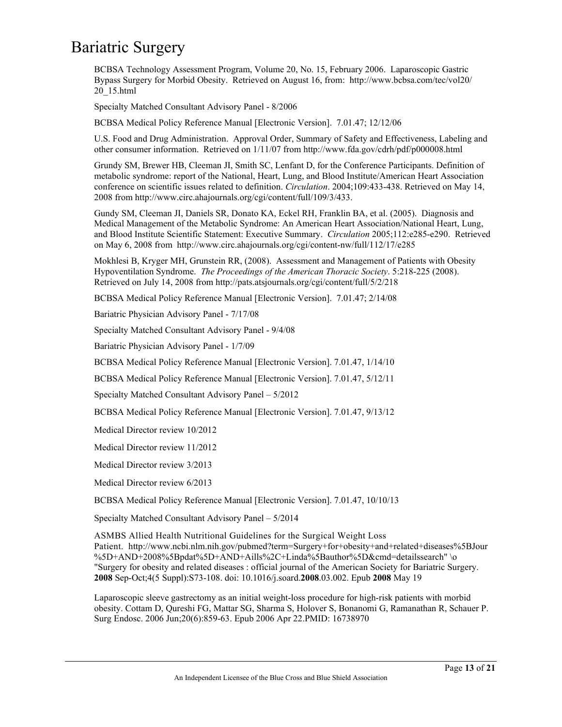BCBSA Technology Assessment Program, Volume 20, No. 15, February 2006. Laparoscopic Gastric Bypass Surgery for Morbid Obesity. Retrieved on August 16, from: http://www.bcbsa.com/tec/vol20/ 20\_15.html

Specialty Matched Consultant Advisory Panel - 8/2006

BCBSA Medical Policy Reference Manual [Electronic Version]. 7.01.47; 12/12/06

U.S. Food and Drug Administration. Approval Order, Summary of Safety and Effectiveness, Labeling and other consumer information. Retrieved on 1/11/07 from http://www.fda.gov/cdrh/pdf/p000008.html

Grundy SM, Brewer HB, Cleeman JI, Smith SC, Lenfant D, for the Conference Participants. Definition of metabolic syndrome: report of the National, Heart, Lung, and Blood Institute/American Heart Association conference on scientific issues related to definition. *Circulation*. 2004;109:433-438. Retrieved on May 14, 2008 from http://www.circ.ahajournals.org/cgi/content/full/109/3/433.

Gundy SM, Cleeman JI, Daniels SR, Donato KA, Eckel RH, Franklin BA, et al. (2005). Diagnosis and Medical Management of the Metabolic Syndrome: An American Heart Association/National Heart, Lung, and Blood Institute Scientific Statement: Executive Summary. *Circulation* 2005;112:e285-e290. Retrieved on May 6, 2008 from http://www.circ.ahajournals.org/cgi/content-nw/full/112/17/e285

Mokhlesi B, Kryger MH, Grunstein RR, (2008). Assessment and Management of Patients with Obesity Hypoventilation Syndrome. *The Proceedings of the American Thoracic Society*. 5:218-225 (2008). Retrieved on July 14, 2008 from http://pats.atsjournals.org/cgi/content/full/5/2/218

BCBSA Medical Policy Reference Manual [Electronic Version]. 7.01.47; 2/14/08

Bariatric Physician Advisory Panel - 7/17/08

Specialty Matched Consultant Advisory Panel - 9/4/08

Bariatric Physician Advisory Panel - 1/7/09

BCBSA Medical Policy Reference Manual [Electronic Version]. 7.01.47, 1/14/10

BCBSA Medical Policy Reference Manual [Electronic Version]. 7.01.47, 5/12/11

Specialty Matched Consultant Advisory Panel – 5/2012

BCBSA Medical Policy Reference Manual [Electronic Version]. 7.01.47, 9/13/12

Medical Director review 10/2012

Medical Director review 11/2012

Medical Director review 3/2013

Medical Director review 6/2013

BCBSA Medical Policy Reference Manual [Electronic Version]. 7.01.47, 10/10/13

Specialty Matched Consultant Advisory Panel – 5/2014

ASMBS Allied Health Nutritional Guidelines for the Surgical Weight Loss Patient. http://www.ncbi.nlm.nih.gov/pubmed?term=Surgery+for+obesity+and+related+diseases%5BJour %5D+AND+2008%5Bpdat%5D+AND+Aills%2C+Linda%5Bauthor%5D&cmd=detailssearch" \o "Surgery for obesity and related diseases : official journal of the American Society for Bariatric Surgery. **2008** Sep-Oct;4(5 Suppl):S73-108. doi: 10.1016/j.soard.**2008**.03.002. Epub **2008** May 19

Laparoscopic sleeve gastrectomy as an initial weight-loss procedure for high-risk patients with morbid obesity. Cottam D, Qureshi FG, Mattar SG, Sharma S, Holover S, Bonanomi G, Ramanathan R, Schauer P. Surg Endosc. 2006 Jun;20(6):859-63. Epub 2006 Apr 22.PMID: 16738970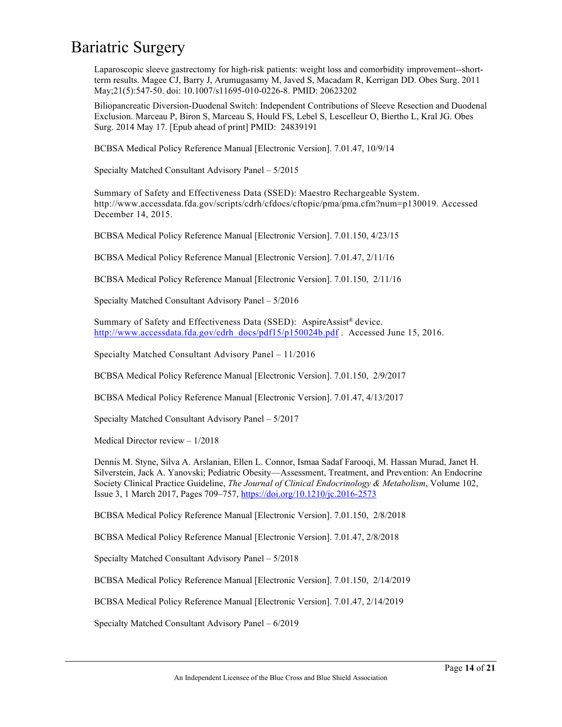Laparoscopic sleeve gastrectomy for high-risk patients: weight loss and comorbidity improvement--shortterm results. Magee CJ, Barry J, Arumugasamy M, Javed S, Macadam R, Kerrigan DD. Obes Surg. 2011 May;21(5):547-50. doi: 10.1007/s11695-010-0226-8. PMID: 20623202

Biliopancreatic Diversion-Duodenal Switch: Independent Contributions of Sleeve Resection and Duodenal Exclusion. Marceau P, Biron S, Marceau S, Hould FS, Lebel S, Lescelleur O, Biertho L, Kral JG. Obes Surg. 2014 May 17. [Epub ahead of print] PMID: 24839191

BCBSA Medical Policy Reference Manual [Electronic Version]. 7.01.47, 10/9/14

Specialty Matched Consultant Advisory Panel – 5/2015

Summary of Safety and Effectiveness Data (SSED): Maestro Rechargeable System. http://www.accessdata.fda.gov/scripts/cdrh/cfdocs/cftopic/pma/pma.cfm?num=p130019. Accessed December 14, 2015.

BCBSA Medical Policy Reference Manual [Electronic Version]. 7.01.150, 4/23/15

BCBSA Medical Policy Reference Manual [Electronic Version]. 7.01.47, 2/11/16

BCBSA Medical Policy Reference Manual [Electronic Version]. 7.01.150, 2/11/16

Specialty Matched Consultant Advisory Panel – 5/2016

Summary of Safety and Effectiveness Data (SSED): AspireAssist® device. [http://www.accessdata.fda.gov/cdrh\\_docs/pdf15/p150024b.pdf](http://www.accessdata.fda.gov/cdrh_docs/pdf15/p150024b.pdf) . Accessed June 15, 2016.

Specialty Matched Consultant Advisory Panel – 11/2016

BCBSA Medical Policy Reference Manual [Electronic Version]. 7.01.150, 2/9/2017

BCBSA Medical Policy Reference Manual [Electronic Version]. 7.01.47, 4/13/2017

Specialty Matched Consultant Advisory Panel – 5/2017

Medical Director review – 1/2018

Dennis M. Styne, Silva A. Arslanian, Ellen L. Connor, Ismaa Sadaf Farooqi, M. Hassan Murad, Janet H. Silverstein, Jack A. Yanovski; Pediatric Obesity—Assessment, Treatment, and Prevention: An Endocrine Society Clinical Practice Guideline, *The Journal of Clinical Endocrinology & Metabolism*, Volume 102, Issue 3, 1 March 2017, Pages 709–757, <https://doi.org/10.1210/jc.2016-2573>

BCBSA Medical Policy Reference Manual [Electronic Version]. 7.01.150, 2/8/2018

BCBSA Medical Policy Reference Manual [Electronic Version]. 7.01.47, 2/8/2018

Specialty Matched Consultant Advisory Panel – 5/2018

BCBSA Medical Policy Reference Manual [Electronic Version]. 7.01.150, 2/14/2019

BCBSA Medical Policy Reference Manual [Electronic Version]. 7.01.47, 2/14/2019

Specialty Matched Consultant Advisory Panel – 6/2019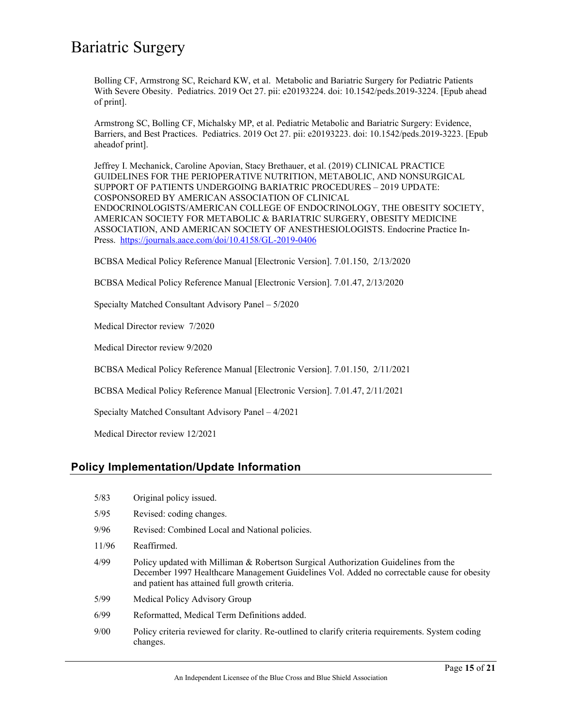Bolling CF, Armstrong SC, Reichard KW, et al. Metabolic and Bariatric Surgery for Pediatric Patients With Severe Obesity. Pediatrics. 2019 Oct 27. pii: e20193224. doi: 10.1542/peds.2019-3224. [Epub ahead of print].

Armstrong SC, Bolling CF, Michalsky MP, et al. Pediatric Metabolic and Bariatric Surgery: Evidence, Barriers, and Best Practices. Pediatrics. 2019 Oct 27. pii: e20193223. doi: 10.1542/peds.2019-3223. [Epub aheadof print].

Jeffrey I. Mechanick, Caroline Apovian, Stacy Brethauer, et al. (2019) CLINICAL PRACTICE GUIDELINES FOR THE PERIOPERATIVE NUTRITION, METABOLIC, AND NONSURGICAL SUPPORT OF PATIENTS UNDERGOING BARIATRIC PROCEDURES – 2019 UPDATE: COSPONSORED BY AMERICAN ASSOCIATION OF CLINICAL ENDOCRINOLOGISTS/AMERICAN COLLEGE OF ENDOCRINOLOGY, THE OBESITY SOCIETY, AMERICAN SOCIETY FOR METABOLIC & BARIATRIC SURGERY, OBESITY MEDICINE ASSOCIATION, AND AMERICAN SOCIETY OF ANESTHESIOLOGISTS. Endocrine Practice In-Press. <https://journals.aace.com/doi/10.4158/GL-2019-0406>

BCBSA Medical Policy Reference Manual [Electronic Version]. 7.01.150, 2/13/2020

BCBSA Medical Policy Reference Manual [Electronic Version]. 7.01.47, 2/13/2020

Specialty Matched Consultant Advisory Panel – 5/2020

Medical Director review 7/2020

Medical Director review 9/2020

BCBSA Medical Policy Reference Manual [Electronic Version]. 7.01.150, 2/11/2021

BCBSA Medical Policy Reference Manual [Electronic Version]. 7.01.47, 2/11/2021

Specialty Matched Consultant Advisory Panel – 4/2021

Medical Director review 12/2021

### **Policy Implementation/Update Information**

- 5/83 Original policy issued.
- 5/95 Revised: coding changes.
- 9/96 Revised: Combined Local and National policies.
- 11/96 Reaffirmed.
- 4/99 Policy updated with Milliman & Robertson Surgical Authorization Guidelines from the December 1997 Healthcare Management Guidelines Vol. Added no correctable cause for obesity and patient has attained full growth criteria.
- 5/99 Medical Policy Advisory Group
- 6/99 Reformatted, Medical Term Definitions added.
- 9/00 Policy criteria reviewed for clarity. Re-outlined to clarify criteria requirements. System coding changes.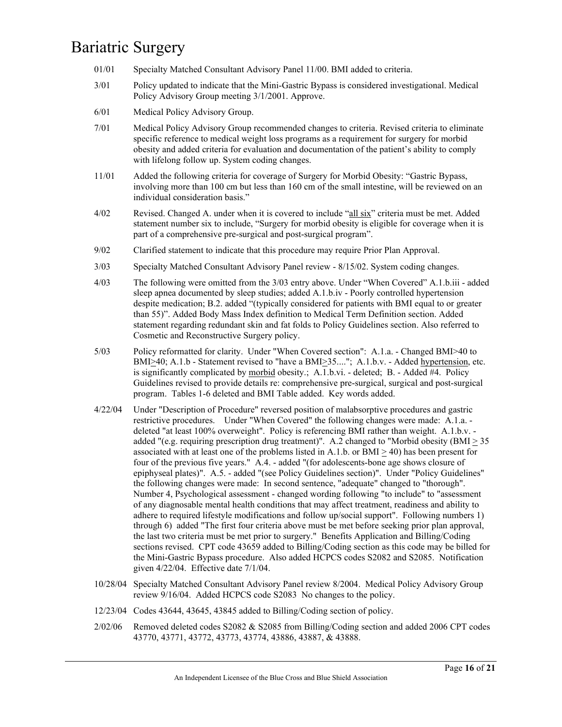- 01/01 Specialty Matched Consultant Advisory Panel 11/00. BMI added to criteria.
- 3/01 Policy updated to indicate that the Mini-Gastric Bypass is considered investigational. Medical Policy Advisory Group meeting 3/1/2001. Approve.
- 6/01 Medical Policy Advisory Group.
- 7/01 Medical Policy Advisory Group recommended changes to criteria. Revised criteria to eliminate specific reference to medical weight loss programs as a requirement for surgery for morbid obesity and added criteria for evaluation and documentation of the patient's ability to comply with lifelong follow up. System coding changes.
- 11/01 Added the following criteria for coverage of Surgery for Morbid Obesity: "Gastric Bypass, involving more than 100 cm but less than 160 cm of the small intestine, will be reviewed on an individual consideration basis."
- 4/02 Revised. Changed A. under when it is covered to include "all six" criteria must be met. Added statement number six to include, "Surgery for morbid obesity is eligible for coverage when it is part of a comprehensive pre-surgical and post-surgical program".
- 9/02 Clarified statement to indicate that this procedure may require Prior Plan Approval.
- 3/03 Specialty Matched Consultant Advisory Panel review 8/15/02. System coding changes.
- 4/03 The following were omitted from the 3/03 entry above. Under "When Covered" A.1.b.iii added sleep apnea documented by sleep studies; added A.1.b.iv - Poorly controlled hypertension despite medication; B.2. added "(typically considered for patients with BMI equal to or greater than 55)". Added Body Mass Index definition to Medical Term Definition section. Added statement regarding redundant skin and fat folds to Policy Guidelines section. Also referred to Cosmetic and Reconstructive Surgery policy.
- 5/03 Policy reformatted for clarity. Under "When Covered section": A.1.a. Changed BMI>40 to BMI $\geq$ 40; A.1.b - Statement revised to "have a BMI $\geq$ 35...."; A.1.b.v. - Added hypertension, etc. is significantly complicated by morbid obesity.; A.1.b.vi. - deleted; B. - Added #4. Policy Guidelines revised to provide details re: comprehensive pre-surgical, surgical and post-surgical program. Tables 1-6 deleted and BMI Table added. Key words added.
- 4/22/04 Under "Description of Procedure" reversed position of malabsorptive procedures and gastric restrictive procedures. Under "When Covered" the following changes were made: A.1.a. deleted "at least 100% overweight". Policy is referencing BMI rather than weight. A.1.b.v. added "(e.g. requiring prescription drug treatment)". A.2 changed to "Morbid obesity ( $BMI > 35$ ) associated with at least one of the problems listed in A.1.b. or BMI > 40) has been present for four of the previous five years." A.4. - added "(for adolescents-bone age shows closure of epiphyseal plates)". A.5. - added "(see Policy Guidelines section)". Under "Policy Guidelines" the following changes were made: In second sentence, "adequate" changed to "thorough". Number 4, Psychological assessment - changed wording following "to include" to "assessment of any diagnosable mental health conditions that may affect treatment, readiness and ability to adhere to required lifestyle modifications and follow up/social support". Following numbers 1) through 6) added "The first four criteria above must be met before seeking prior plan approval, the last two criteria must be met prior to surgery." Benefits Application and Billing/Coding sections revised. CPT code 43659 added to Billing/Coding section as this code may be billed for the Mini-Gastric Bypass procedure. Also added HCPCS codes S2082 and S2085. Notification given 4/22/04. Effective date 7/1/04.
- 10/28/04 Specialty Matched Consultant Advisory Panel review 8/2004. Medical Policy Advisory Group review 9/16/04. Added HCPCS code S2083 No changes to the policy.
- 12/23/04 Codes 43644, 43645, 43845 added to Billing/Coding section of policy.
- 2/02/06 Removed deleted codes S2082 & S2085 from Billing/Coding section and added 2006 CPT codes 43770, 43771, 43772, 43773, 43774, 43886, 43887, & 43888.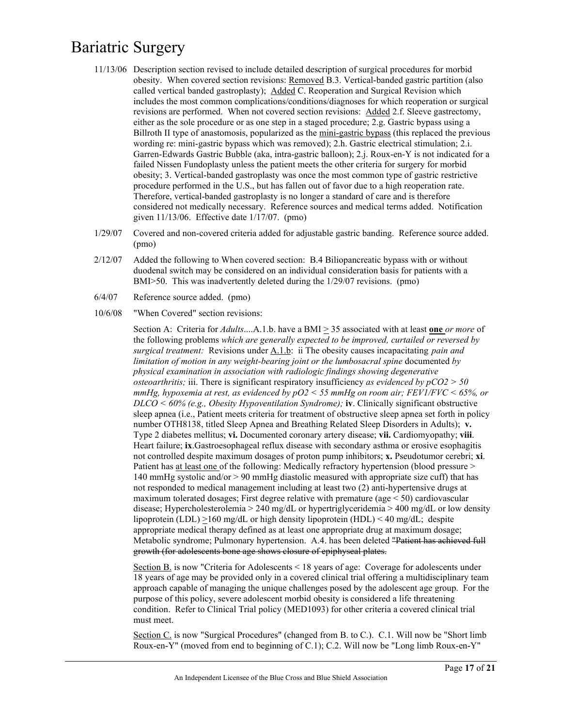- 11/13/06 Description section revised to include detailed description of surgical procedures for morbid obesity. When covered section revisions: Removed B.3. Vertical-banded gastric partition (also called vertical banded gastroplasty); Added C. Reoperation and Surgical Revision which includes the most common complications/conditions/diagnoses for which reoperation or surgical revisions are performed. When not covered section revisions: Added 2.f. Sleeve gastrectomy, either as the sole procedure or as one step in a staged procedure; 2.g. Gastric bypass using a Billroth II type of anastomosis, popularized as the mini-gastric bypass (this replaced the previous wording re: mini-gastric bypass which was removed); 2.h. Gastric electrical stimulation; 2.i. Garren-Edwards Gastric Bubble (aka, intra-gastric balloon); 2.j. Roux-en-Y is not indicated for a failed Nissen Fundoplasty unless the patient meets the other criteria for surgery for morbid obesity; 3. Vertical-banded gastroplasty was once the most common type of gastric restrictive procedure performed in the U.S., but has fallen out of favor due to a high reoperation rate. Therefore, vertical-banded gastroplasty is no longer a standard of care and is therefore considered not medically necessary. Reference sources and medical terms added. Notification given 11/13/06. Effective date 1/17/07. (pmo)
- 1/29/07 Covered and non-covered criteria added for adjustable gastric banding. Reference source added. (pmo)
- 2/12/07 Added the following to When covered section: B.4 Biliopancreatic bypass with or without duodenal switch may be considered on an individual consideration basis for patients with a BMI>50. This was inadvertently deleted during the 1/29/07 revisions. (pmo)
- 6/4/07 Reference source added. (pmo)
- 10/6/08 "When Covered" section revisions:

Section A: Criteria for *Adults*....A.1.b. have a BMI > 35 associated with at least **one** *or more* of the following problems *which are generally expected to be improved, curtailed or reversed by surgical treatment:* Revisions under A.1.b: ii The obesity causes incapacitating *pain and limitation of motion in any weight-bearing joint or the lumbosacral spine* documented *by physical examination in association with radiologic findings showing degenerative osteoarthritis;* iii. There is significant respiratory insufficiency *as evidenced by pCO2 > 50 mmHg, hypoxemia at rest, as evidenced by pO2 < 55 mmHg on room air; FEV1/FVC < 65%, or DLCO < 60% (e.g., Obesity Hypoventilation Syndrome);* **iv**. Clinically significant obstructive sleep apnea (i.e., Patient meets criteria for treatment of obstructive sleep apnea set forth in policy number OTH8138, titled Sleep Apnea and Breathing Related Sleep Disorders in Adults); **v.** Type 2 diabetes mellitus; **vi.** Documented coronary artery disease; **vii.** Cardiomyopathy; **viii**. Heart failure; **ix**.Gastroesophageal reflux disease with secondary asthma or erosive esophagitis not controlled despite maximum dosages of proton pump inhibitors; **x.** Pseudotumor cerebri; **xi**. Patient has at least one of the following: Medically refractory hypertension (blood pressure > 140 mmHg systolic and/or > 90 mmHg diastolic measured with appropriate size cuff) that has not responded to medical management including at least two (2) anti-hypertensive drugs at maximum tolerated dosages; First degree relative with premature ( $age < 50$ ) cardiovascular disease; Hypercholesterolemia > 240 mg/dL or hypertriglyceridemia > 400 mg/dL or low density lipoprotein (LDL)  $\geq$ 160 mg/dL or high density lipoprotein (HDL) < 40 mg/dL; despite appropriate medical therapy defined as at least one appropriate drug at maximum dosage; Metabolic syndrome; Pulmonary hypertension. A.4. has been deleted "Patient has achieved full growth (for adolescents bone age shows closure of epiphyseal plates.

Section B. is now "Criteria for Adolescents < 18 years of age: Coverage for adolescents under 18 years of age may be provided only in a covered clinical trial offering a multidisciplinary team approach capable of managing the unique challenges posed by the adolescent age group. For the purpose of this policy, severe adolescent morbid obesity is considered a life threatening condition. Refer to Clinical Trial policy (MED1093) for other criteria a covered clinical trial must meet.

Section C. is now "Surgical Procedures" (changed from B. to C.). C.1. Will now be "Short limb Roux-en-Y" (moved from end to beginning of C.1); C.2. Will now be "Long limb Roux-en-Y"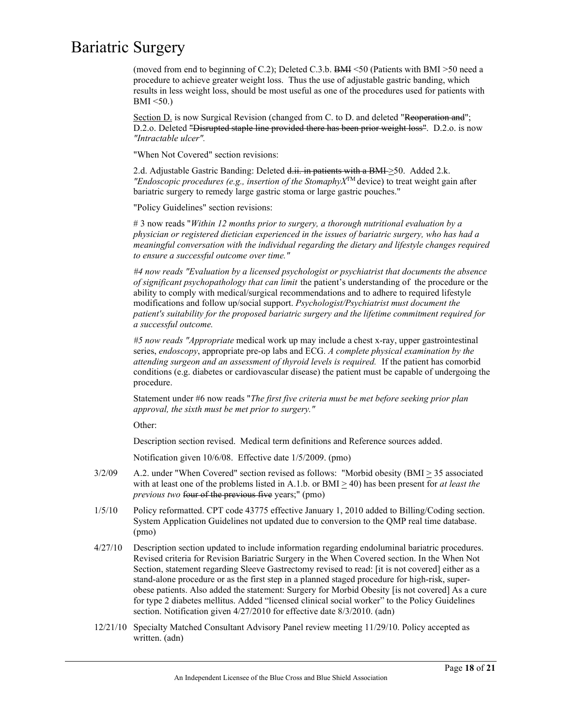(moved from end to beginning of C.2); Deleted C.3.b. BMI <50 (Patients with BMI >50 need a procedure to achieve greater weight loss. Thus the use of adjustable gastric banding, which results in less weight loss, should be most useful as one of the procedures used for patients with  $BMI < 50$ .)

Section D. is now Surgical Revision (changed from C. to D. and deleted "Reoperation and"; D.2.o. Deleted "Disrupted staple line provided there has been prior weight loss". D.2.o. is now *"Intractable ulcer".* 

"When Not Covered" section revisions:

2.d. Adjustable Gastric Banding: Deleted  $d$ .ii. in patients with a BMI $\geq$ 50. Added 2.k. *"Endoscopic procedures (e.g., insertion of the StomaphyX<sup>TM</sup> device) to treat weight gain after* bariatric surgery to remedy large gastric stoma or large gastric pouches."

"Policy Guidelines" section revisions:

# 3 now reads "*Within 12 months prior to surgery, a thorough nutritional evaluation by a physician or registered dietician experienced in the issues of bariatric surgery, who has had a meaningful conversation with the individual regarding the dietary and lifestyle changes required to ensure a successful outcome over time."*

*#4 now reads "Evaluation by a licensed psychologist or psychiatrist that documents the absence of significant psychopathology that can limit* the patient's understanding of the procedure or the ability to comply with medical/surgical recommendations and to adhere to required lifestyle modifications and follow up/social support. *Psychologist/Psychiatrist must document the patient's suitability for the proposed bariatric surgery and the lifetime commitment required for a successful outcome.*

*#5 now reads "Appropriate* medical work up may include a chest x-ray, upper gastrointestinal series, *endoscopy*, appropriate pre-op labs and ECG. *A complete physical examination by the attending surgeon and an assessment of thyroid levels is required.* If the patient has comorbid conditions (e.g. diabetes or cardiovascular disease) the patient must be capable of undergoing the procedure.

Statement under #6 now reads "*The first five criteria must be met before seeking prior plan approval, the sixth must be met prior to surgery."*

Other:

Description section revised. Medical term definitions and Reference sources added.

Notification given 10/6/08. Effective date 1/5/2009. (pmo)

- $3/2/09$  A.2. under "When Covered" section revised as follows: "Morbid obesity (BMI  $\geq$  35 associated with at least one of the problems listed in A.1.b. or  $BMI \geq 40$ ) has been present for *at least the previous two* four of the previous five years;" (pmo)
- 1/5/10 Policy reformatted. CPT code 43775 effective January 1, 2010 added to Billing/Coding section. System Application Guidelines not updated due to conversion to the QMP real time database. (pmo)
- 4/27/10 Description section updated to include information regarding endoluminal bariatric procedures. Revised criteria for Revision Bariatric Surgery in the When Covered section. In the When Not Section, statement regarding Sleeve Gastrectomy revised to read: [it is not covered] either as a stand-alone procedure or as the first step in a planned staged procedure for high-risk, superobese patients. Also added the statement: Surgery for Morbid Obesity [is not covered] As a cure for type 2 diabetes mellitus. Added "licensed clinical social worker" to the Policy Guidelines section. Notification given 4/27/2010 for effective date 8/3/2010. (adn)
- 12/21/10 Specialty Matched Consultant Advisory Panel review meeting 11/29/10. Policy accepted as written. (adn)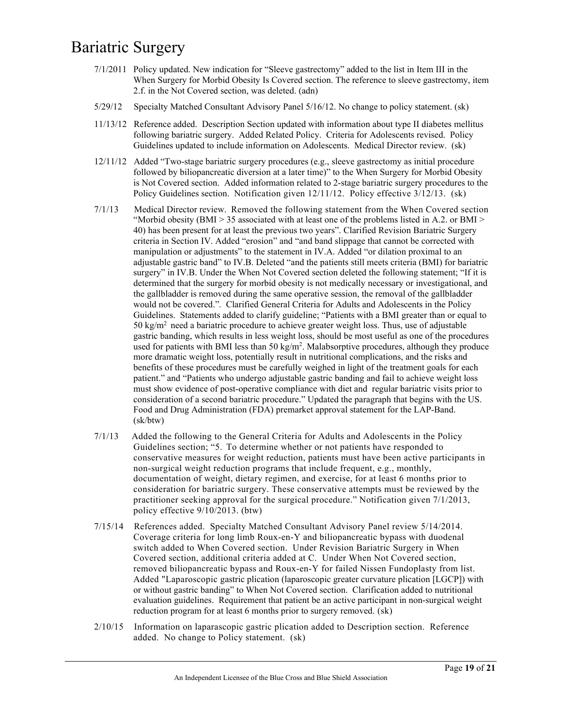- 7/1/2011 Policy updated. New indication for "Sleeve gastrectomy" added to the list in Item III in the When Surgery for Morbid Obesity Is Covered section. The reference to sleeve gastrectomy, item 2.f. in the Not Covered section, was deleted. (adn)
- 5/29/12 Specialty Matched Consultant Advisory Panel 5/16/12. No change to policy statement. (sk)
- 11/13/12 Reference added. Description Section updated with information about type II diabetes mellitus following bariatric surgery. Added Related Policy. Criteria for Adolescents revised. Policy Guidelines updated to include information on Adolescents. Medical Director review. (sk)
- 12/11/12 Added "Two-stage bariatric surgery procedures (e.g., sleeve gastrectomy as initial procedure followed by biliopancreatic diversion at a later time)" to the When Surgery for Morbid Obesity is Not Covered section. Added information related to 2-stage bariatric surgery procedures to the Policy Guidelines section. Notification given 12/11/12. Policy effective 3/12/13. (sk)
- 7/1/13 Medical Director review. Removed the following statement from the When Covered section "Morbid obesity (BMI > 35 associated with at least one of the problems listed in A.2. or BMI > 40) has been present for at least the previous two years". Clarified Revision Bariatric Surgery criteria in Section IV. Added "erosion" and "and band slippage that cannot be corrected with manipulation or adjustments" to the statement in IV.A. Added "or dilation proximal to an adjustable gastric band" to IV.B. Deleted "and the patients still meets criteria (BMI) for bariatric surgery" in IV.B. Under the When Not Covered section deleted the following statement; "If it is determined that the surgery for morbid obesity is not medically necessary or investigational, and the gallbladder is removed during the same operative session, the removal of the gallbladder would not be covered.". Clarified General Criteria for Adults and Adolescents in the Policy Guidelines. Statements added to clarify guideline; "Patients with a BMI greater than or equal to 50 kg/m<sup>2</sup> need a bariatric procedure to achieve greater weight loss. Thus, use of adjustable gastric banding, which results in less weight loss, should be most useful as one of the procedures used for patients with BMI less than 50 kg/m<sup>2</sup>. Malabsorptive procedures, although they produce more dramatic weight loss, potentially result in nutritional complications, and the risks and benefits of these procedures must be carefully weighed in light of the treatment goals for each patient." and "Patients who undergo adjustable gastric banding and fail to achieve weight loss must show evidence of post-operative compliance with diet and regular bariatric visits prior to consideration of a second bariatric procedure." Updated the paragraph that begins with the US. Food and Drug Administration (FDA) premarket approval statement for the LAP-Band. (sk/btw)
- 7/1/13 Added the following to the General Criteria for Adults and Adolescents in the Policy Guidelines section; "5. To determine whether or not patients have responded to conservative measures for weight reduction, patients must have been active participants in non-surgical weight reduction programs that include frequent, e.g., monthly, documentation of weight, dietary regimen, and exercise, for at least 6 months prior to consideration for bariatric surgery. These conservative attempts must be reviewed by the practitioner seeking approval for the surgical procedure." Notification given 7/1/2013, policy effective 9/10/2013. (btw)
- 7/15/14 References added. Specialty Matched Consultant Advisory Panel review 5/14/2014. Coverage criteria for long limb Roux-en-Y and biliopancreatic bypass with duodenal switch added to When Covered section. Under Revision Bariatric Surgery in When Covered section, additional criteria added at C. Under When Not Covered section, removed biliopancreatic bypass and Roux-en-Y for failed Nissen Fundoplasty from list. Added "Laparoscopic gastric plication (laparoscopic greater curvature plication [LGCP]) with or without gastric banding" to When Not Covered section. Clarification added to nutritional evaluation guidelines. Requirement that patient be an active participant in non-surgical weight reduction program for at least 6 months prior to surgery removed. (sk)
- 2/10/15 Information on laparascopic gastric plication added to Description section. Reference added. No change to Policy statement. (sk)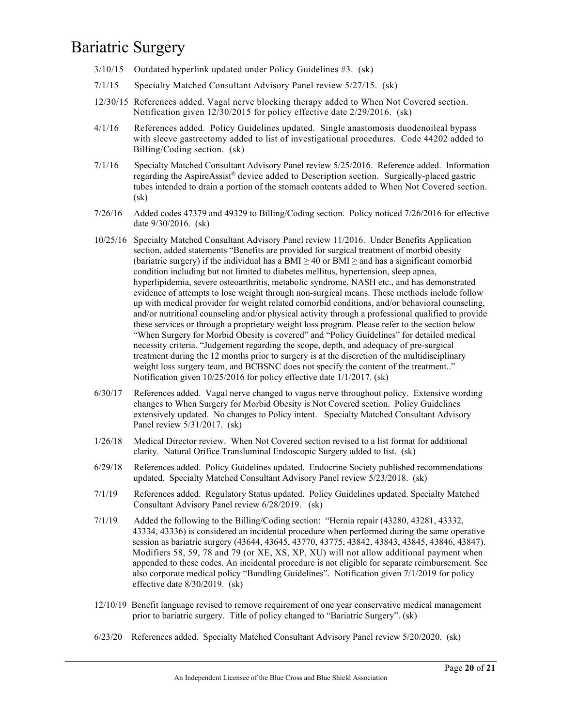- 3/10/15 Outdated hyperlink updated under Policy Guidelines #3. (sk)
- 7/1/15 Specialty Matched Consultant Advisory Panel review 5/27/15. (sk)
- 12/30/15 References added. Vagal nerve blocking therapy added to When Not Covered section. Notification given 12/30/2015 for policy effective date 2/29/2016. (sk)
- 4/1/16 References added. Policy Guidelines updated. Single anastomosis duodenoileal bypass with sleeve gastrectomy added to list of investigational procedures. Code 44202 added to Billing/Coding section. (sk)
- 7/1/16 Specialty Matched Consultant Advisory Panel review 5/25/2016. Reference added. Information regarding the AspireAssist® device added to Description section. Surgically-placed gastric tubes intended to drain a portion of the stomach contents added to When Not Covered section. (sk)
- 7/26/16 Added codes 47379 and 49329 to Billing/Coding section. Policy noticed 7/26/2016 for effective date 9/30/2016. (sk)
- 10/25/16 Specialty Matched Consultant Advisory Panel review 11/2016. Under Benefits Application section, added statements "Benefits are provided for surgical treatment of morbid obesity (bariatric surgery) if the individual has a BMI  $\geq$  40 or BMI  $\geq$  and has a significant comorbid condition including but not limited to diabetes mellitus, hypertension, sleep apnea, hyperlipidemia, severe osteoarthritis, metabolic syndrome, NASH etc., and has demonstrated evidence of attempts to lose weight through non-surgical means. These methods include follow up with medical provider for weight related comorbid conditions, and/or behavioral counseling, and/or nutritional counseling and/or physical activity through a professional qualified to provide these services or through a proprietary weight loss program. Please refer to the section below "When Surgery for Morbid Obesity is covered" and "Policy Guidelines" for detailed medical necessity criteria. "Judgement regarding the scope, depth, and adequacy of pre-surgical treatment during the 12 months prior to surgery is at the discretion of the multidisciplinary weight loss surgery team, and BCBSNC does not specify the content of the treatment.." Notification given 10/25/2016 for policy effective date 1/1/2017. (sk)
- 6/30/17 References added. Vagal nerve changed to vagus nerve throughout policy. Extensive wording changes to When Surgery for Morbid Obesity is Not Covered section. Policy Guidelines extensively updated. No changes to Policy intent. Specialty Matched Consultant Advisory Panel review 5/31/2017. (sk)
- 1/26/18 Medical Director review. When Not Covered section revised to a list format for additional clarity. Natural Orifice Transluminal Endoscopic Surgery added to list. (sk)
- 6/29/18 References added. Policy Guidelines updated. Endocrine Society published recommendations updated. Specialty Matched Consultant Advisory Panel review 5/23/2018. (sk)
- 7/1/19 References added. Regulatory Status updated. Policy Guidelines updated. Specialty Matched Consultant Advisory Panel review 6/28/2019. (sk)
- 7/1/19 Added the following to the Billing/Coding section: "Hernia repair (43280, 43281, 43332, 43334, 43336) is considered an incidental procedure when performed during the same operative session as bariatric surgery (43644, 43645, 43770, 43775, 43842, 43843, 43845, 43846, 43847). Modifiers 58, 59, 78 and 79 (or XE, XS, XP, XU) will not allow additional payment when appended to these codes. An incidental procedure is not eligible for separate reimbursement. See also corporate medical policy "Bundling Guidelines". Notification given 7/1/2019 for policy effective date 8/30/2019. (sk)
- 12/10/19 Benefit language revised to remove requirement of one year conservative medical management prior to bariatric surgery. Title of policy changed to "Bariatric Surgery". (sk)
- 6/23/20 References added. Specialty Matched Consultant Advisory Panel review 5/20/2020. (sk)